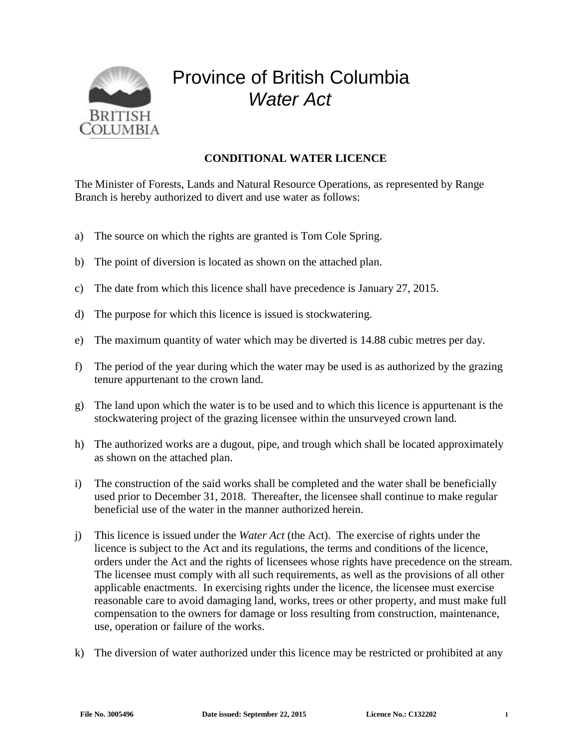

## Province of British Columbia *Water Act*

## **CONDITIONAL WATER LICENCE**

The Minister of Forests, Lands and Natural Resource Operations, as represented by Range Branch is hereby authorized to divert and use water as follows:

- a) The source on which the rights are granted is Tom Cole Spring.
- b) The point of diversion is located as shown on the attached plan.
- c) The date from which this licence shall have precedence is January 27, 2015.
- d) The purpose for which this licence is issued is stockwatering.
- e) The maximum quantity of water which may be diverted is 14.88 cubic metres per day.
- f) The period of the year during which the water may be used is as authorized by the grazing tenure appurtenant to the crown land.
- g) The land upon which the water is to be used and to which this licence is appurtenant is the stockwatering project of the grazing licensee within the unsurveyed crown land.
- h) The authorized works are a dugout, pipe, and trough which shall be located approximately as shown on the attached plan.
- i) The construction of the said works shall be completed and the water shall be beneficially used prior to December 31, 2018. Thereafter, the licensee shall continue to make regular beneficial use of the water in the manner authorized herein.
- j) This licence is issued under the *Water Act* (the Act). The exercise of rights under the licence is subject to the Act and its regulations, the terms and conditions of the licence, orders under the Act and the rights of licensees whose rights have precedence on the stream. The licensee must comply with all such requirements, as well as the provisions of all other applicable enactments. In exercising rights under the licence, the licensee must exercise reasonable care to avoid damaging land, works, trees or other property, and must make full compensation to the owners for damage or loss resulting from construction, maintenance, use, operation or failure of the works.
- k) The diversion of water authorized under this licence may be restricted or prohibited at any